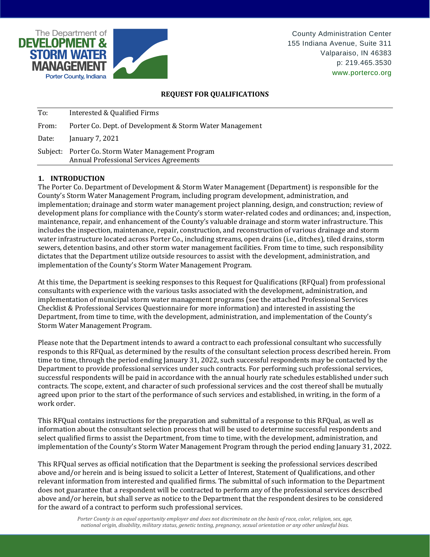

# **REQUEST FOR QUALIFICATIONS**

| To:   | Interested & Qualified Firms                                                                         |
|-------|------------------------------------------------------------------------------------------------------|
| From: | Porter Co. Dept. of Development & Storm Water Management                                             |
| Date: | January 7, 2021                                                                                      |
|       | Subject: Porter Co. Storm Water Management Program<br><b>Annual Professional Services Agreements</b> |

# **1. INTRODUCTION**

The Porter Co. Department of Development & Storm Water Management (Department) is responsible for the County's Storm Water Management Program, including program development, administration, and implementation; drainage and storm water management project planning, design, and construction; review of development plans for compliance with the County's storm water-related codes and ordinances; and, inspection, maintenance, repair, and enhancement of the County's valuable drainage and storm water infrastructure. This includes the inspection, maintenance, repair, construction, and reconstruction of various drainage and storm water infrastructure located across Porter Co., including streams, open drains (i.e., ditches), tiled drains, storm sewers, detention basins, and other storm water management facilities. From time to time, such responsibility dictates that the Department utilize outside resources to assist with the development, administration, and implementation of the County's Storm Water Management Program.

At this time, the Department is seeking responses to this Request for Qualifications (RFQual) from professional consultants with experience with the various tasks associated with the development, administration, and implementation of municipal storm water management programs (see the attached Professional Services Checklist & Professional Services Questionnaire for more information) and interested in assisting the Department, from time to time, with the development, administration, and implementation of the County's Storm Water Management Program.

Please note that the Department intends to award a contract to each professional consultant who successfully responds to this RFQual, as determined by the results of the consultant selection process described herein. From time to time, through the period ending January 31, 2022, such successful respondents may be contacted by the Department to provide professional services under such contracts. For performing such professional services, successful respondents will be paid in accordance with the annual hourly rate schedules established under such contracts. The scope, extent, and character of such professional services and the cost thereof shall be mutually agreed upon prior to the start of the performance of such services and established, in writing, in the form of a work order.

This RFQual contains instructions for the preparation and submittal of a response to this RFQual, as well as information about the consultant selection process that will be used to determine successful respondents and select qualified firms to assist the Department, from time to time, with the development, administration, and implementation of the County's Storm Water Management Program through the period ending January 31, 2022.

This RFQual serves as official notification that the Department is seeking the professional services described above and/or herein and is being issued to solicit a Letter of Interest, Statement of Qualifications, and other relevant information from interested and qualified firms. The submittal of such information to the Department does not guarantee that a respondent will be contracted to perform any of the professional services described above and/or herein, but shall serve as notice to the Department that the respondent desires to be considered for the award of a contract to perform such professional services.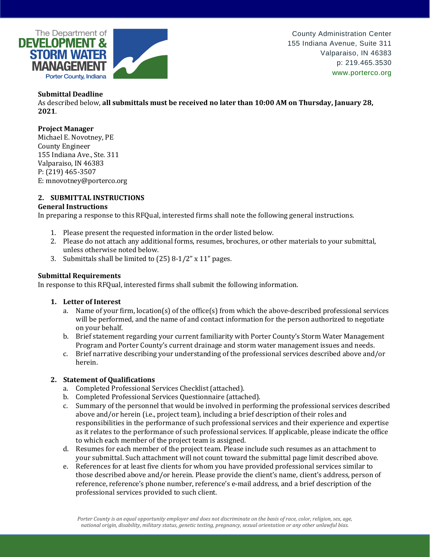

### **Submittal Deadline**

As described below, **all submittals must be received no later than 10:00 AM on Thursday, January 28, 2021**.

#### **Project Manager**

Michael E. Novotney, PE County Engineer 155 Indiana Ave., Ste. 311 Valparaiso, IN 46383 P: (219) 465-3507 E: mnovotney@porterco.org

# **2. SUBMITTAL INSTRUCTIONS**

#### **General Instructions**

In preparing a response to this RFQual, interested firms shall note the following general instructions.

- 1. Please present the requested information in the order listed below.
- 2. Please do not attach any additional forms, resumes, brochures, or other materials to your submittal, unless otherwise noted below.
- 3. Submittals shall be limited to (25) 8-1/2" x 11" pages.

### **Submittal Requirements**

In response to this RFQual, interested firms shall submit the following information.

#### **1. Letter of Interest**

- a. Name of your firm, location(s) of the office(s) from which the above-described professional services will be performed, and the name of and contact information for the person authorized to negotiate on your behalf.
- b. Brief statement regarding your current familiarity with Porter County's Storm Water Management Program and Porter County's current drainage and storm water management issues and needs.
- c. Brief narrative describing your understanding of the professional services described above and/or herein.

## **2. Statement of Qualifications**

- a. Completed Professional Services Checklist (attached).
- b. Completed Professional Services Questionnaire (attached).
- c. Summary of the personnel that would be involved in performing the professional services described above and/or herein (i.e., project team), including a brief description of their roles and responsibilities in the performance of such professional services and their experience and expertise as it relates to the performance of such professional services. If applicable, please indicate the office to which each member of the project team is assigned.
- d. Resumes for each member of the project team. Please include such resumes as an attachment to your submittal. Such attachment will not count toward the submittal page limit described above.
- e. References for at least five clients for whom you have provided professional services similar to those described above and/or herein. Please provide the client's name, client's address, person of reference, reference's phone number, reference's e-mail address, and a brief description of the professional services provided to such client.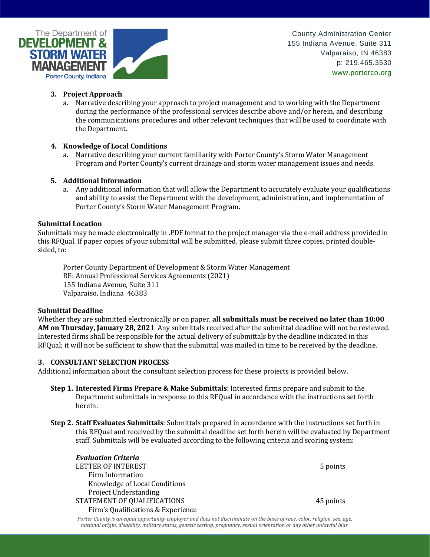

- **3. Project Approach**
	- a. Narrative describing your approach to project management and to working with the Department during the performance of the professional services describe above and/or herein, and describing the communications procedures and other relevant techniques that will be used to coordinate with the Department.

### **4. Knowledge of Local Conditions**

a. Narrative describing your current familiarity with Porter County's Storm Water Management Program and Porter County's current drainage and storm water management issues and needs.

### **5. Additional Information**

a. Any additional information that will allow the Department to accurately evaluate your qualifications and ability to assist the Department with the development, administration, and implementation of Porter County's Storm Water Management Program.

### **Submittal Location**

Submittals may be made electronically in .PDF format to the project manager via the e-mail address provided in this RFQual. If paper copies of your submittal will be submitted, please submit three copies, printed doublesided, to:

Porter County Department of Development & Storm Water Management RE: Annual Professional Services Agreements (2021) 155 Indiana Avenue, Suite 311 Valparaiso, Indiana 46383

#### **Submittal Deadline**

Whether they are submitted electronically or on paper, **all submittals must be received no later than 10:00 AM on Thursday, January 28, 2021**. Any submittals received after the submittal deadline will not be reviewed. Interested firms shall be responsible for the actual delivery of submittals by the deadline indicated in this RFQual; it will not be sufficient to show that the submittal was mailed in time to be received by the deadline.

#### **3. CONSULTANT SELECTION PROCESS**

Additional information about the consultant selection process for these projects is provided below.

- **Step 1. Interested Firms Prepare & Make Submittals**: Interested firms prepare and submit to the Department submittals in response to this RFQual in accordance with the instructions set forth herein.
- **Step 2. Staff Evaluates Submittals**: Submittals prepared in accordance with the instructions set forth in this RFQual and received by the submittal deadline set forth herein will be evaluated by Department staff. Submittals will be evaluated according to the following criteria and scoring system:

| <b>Evaluation Criteria</b>         |           |
|------------------------------------|-----------|
| LETTER OF INTEREST                 | 5 points  |
| Firm Information                   |           |
| Knowledge of Local Conditions      |           |
| <b>Project Understanding</b>       |           |
| STATEMENT OF QUALIFICATIONS        | 45 points |
| Firm's Qualifications & Experience |           |

*Porter County is an equal opportunity employer and does not discriminate on the basis of race, color, religion, sex, age, national origin, disability, military status, genetic testing, pregnancy, sexual orientation or any other unlawful bias.*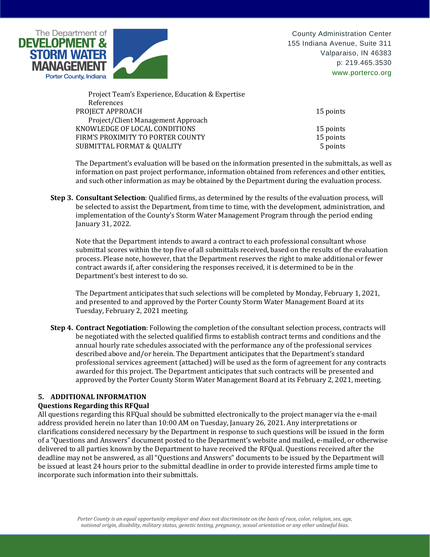

| 15 points |
|-----------|
|           |
| 15 points |
| 15 points |
| 5 points  |
|           |

The Department's evaluation will be based on the information presented in the submittals, as well as information on past project performance, information obtained from references and other entities, and such other information as may be obtained by the Department during the evaluation process.

**Step 3. Consultant Selection**: Qualified firms, as determined by the results of the evaluation process, will be selected to assist the Department, from time to time, with the development, administration, and implementation of the County's Storm Water Management Program through the period ending January 31, 2022.

Note that the Department intends to award a contract to each professional consultant whose submittal scores within the top five of all submittals received, based on the results of the evaluation process. Please note, however, that the Department reserves the right to make additional or fewer contract awards if, after considering the responses received, it is determined to be in the Department's best interest to do so.

The Department anticipates that such selections will be completed by Monday, February 1, 2021, and presented to and approved by the Porter County Storm Water Management Board at its Tuesday, February 2, 2021 meeting.

**Step 4. Contract Negotiation**: Following the completion of the consultant selection process, contracts will be negotiated with the selected qualified firms to establish contract terms and conditions and the annual hourly rate schedules associated with the performance any of the professional services described above and/or herein. The Department anticipates that the Department's standard professional services agreement (attached) will be used as the form of agreement for any contracts awarded for this project. The Department anticipates that such contracts will be presented and approved by the Porter County Storm Water Management Board at its February 2, 2021, meeting.

## **5. ADDITIONAL INFORMATION**

## **Questions Regarding this RFQual**

All questions regarding this RFQual should be submitted electronically to the project manager via the e-mail address provided herein no later than 10:00 AM on Tuesday, January 26, 2021. Any interpretations or clarifications considered necessary by the Department in response to such questions will be issued in the form of a "Questions and Answers" document posted to the Department's website and mailed, e-mailed, or otherwise delivered to all parties known by the Department to have received the RFQual. Questions received after the deadline may not be answered, as all "Questions and Answers" documents to be issued by the Department will be issued at least 24 hours prior to the submittal deadline in order to provide interested firms ample time to incorporate such information into their submittals.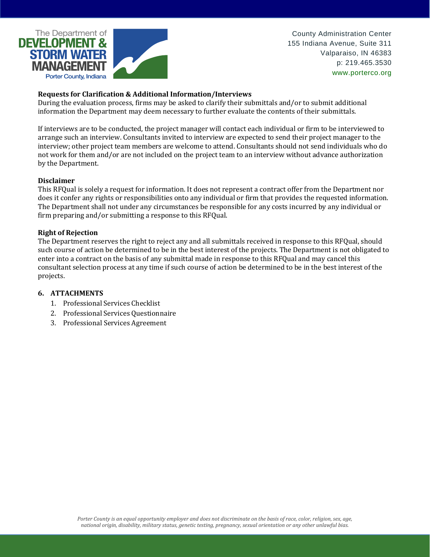

## **Requests for Clarification & Additional Information/Interviews**

During the evaluation process, firms may be asked to clarify their submittals and/or to submit additional information the Department may deem necessary to further evaluate the contents of their submittals.

If interviews are to be conducted, the project manager will contact each individual or firm to be interviewed to arrange such an interview. Consultants invited to interview are expected to send their project manager to the interview; other project team members are welcome to attend. Consultants should not send individuals who do not work for them and/or are not included on the project team to an interview without advance authorization by the Department.

## **Disclaimer**

This RFQual is solely a request for information. It does not represent a contract offer from the Department nor does it confer any rights or responsibilities onto any individual or firm that provides the requested information. The Department shall not under any circumstances be responsible for any costs incurred by any individual or firm preparing and/or submitting a response to this RFQual.

### **Right of Rejection**

The Department reserves the right to reject any and all submittals received in response to this RFQual, should such course of action be determined to be in the best interest of the projects. The Department is not obligated to enter into a contract on the basis of any submittal made in response to this RFQual and may cancel this consultant selection process at any time if such course of action be determined to be in the best interest of the projects.

#### **6. ATTACHMENTS**

- 1. Professional Services Checklist
- 2. Professional Services Questionnaire
- 3. Professional Services Agreement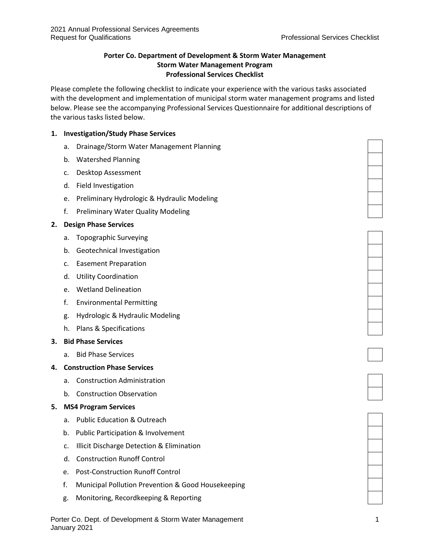# **Porter Co. Department of Development & Storm Water Management Storm Water Management Program Professional Services Checklist**

Please complete the following checklist to indicate your experience with the various tasks associated with the development and implementation of municipal storm water management programs and listed below. Please see the accompanying Professional Services Questionnaire for additional descriptions of the various tasks listed below.

## **1. Investigation/Study Phase Services**

- a. Drainage/Storm Water Management Planning
- b. Watershed Planning
- c. Desktop Assessment
- d. Field Investigation
- e. Preliminary Hydrologic & Hydraulic Modeling
- f. Preliminary Water Quality Modeling

## **2. Design Phase Services**

- a. Topographic Surveying
- b. Geotechnical Investigation
- c. Easement Preparation
- d. Utility Coordination
- e. Wetland Delineation
- f. Environmental Permitting
- g. Hydrologic & Hydraulic Modeling
- h. Plans & Specifications

## **3. Bid Phase Services**

a. Bid Phase Services

## **4. Construction Phase Services**

- a. Construction Administration
- b. Construction Observation

## **5. MS4 Program Services**

- a. Public Education & Outreach
- b. Public Participation & Involvement
- c. Illicit Discharge Detection & Elimination
- d. Construction Runoff Control
- e. Post-Construction Runoff Control
- f. Municipal Pollution Prevention & Good Housekeeping
- g. Monitoring, Recordkeeping & Reporting









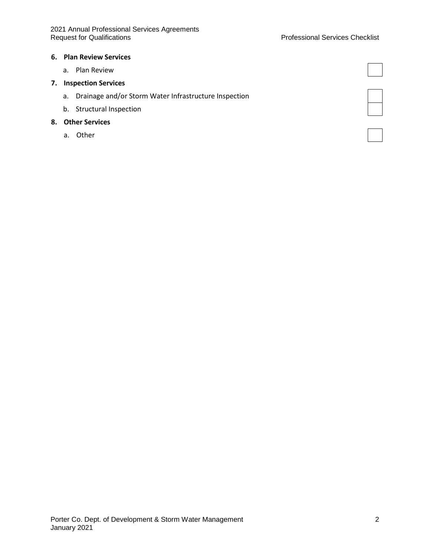#### Professional Services Checklist

#### **6. Plan Review Services**

a. Plan Review

# **7. Inspection Services**

- a. Drainage and/or Storm Water Infrastructure Inspection
- b. Structural Inspection

### **8. Other Services**

a. Other

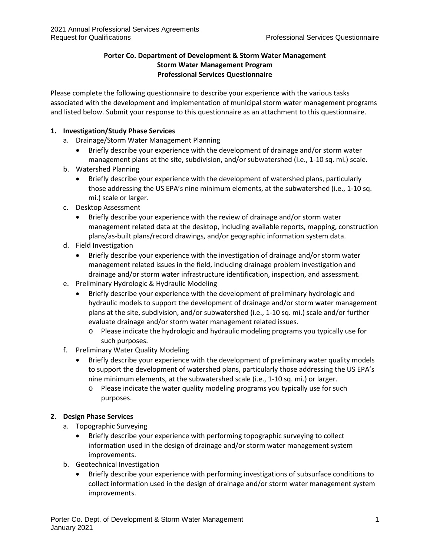# **Porter Co. Department of Development & Storm Water Management Storm Water Management Program Professional Services Questionnaire**

Please complete the following questionnaire to describe your experience with the various tasks associated with the development and implementation of municipal storm water management programs and listed below. Submit your response to this questionnaire as an attachment to this questionnaire.

# **1. Investigation/Study Phase Services**

- a. Drainage/Storm Water Management Planning
	- Briefly describe your experience with the development of drainage and/or storm water management plans at the site, subdivision, and/or subwatershed (i.e., 1-10 sq. mi.) scale.
- b. Watershed Planning
	- Briefly describe your experience with the development of watershed plans, particularly those addressing the US EPA's nine minimum elements, at the subwatershed (i.e., 1-10 sq. mi.) scale or larger.
- c. Desktop Assessment
	- Briefly describe your experience with the review of drainage and/or storm water management related data at the desktop, including available reports, mapping, construction plans/as-built plans/record drawings, and/or geographic information system data.
- d. Field Investigation
	- Briefly describe your experience with the investigation of drainage and/or storm water management related issues in the field, including drainage problem investigation and drainage and/or storm water infrastructure identification, inspection, and assessment.
- e. Preliminary Hydrologic & Hydraulic Modeling
	- Briefly describe your experience with the development of preliminary hydrologic and hydraulic models to support the development of drainage and/or storm water management plans at the site, subdivision, and/or subwatershed (i.e., 1-10 sq. mi.) scale and/or further evaluate drainage and/or storm water management related issues.
		- o Please indicate the hydrologic and hydraulic modeling programs you typically use for such purposes.
- f. Preliminary Water Quality Modeling
	- Briefly describe your experience with the development of preliminary water quality models to support the development of watershed plans, particularly those addressing the US EPA's nine minimum elements, at the subwatershed scale (i.e., 1-10 sq. mi.) or larger.
		- o Please indicate the water quality modeling programs you typically use for such purposes.

## **2. Design Phase Services**

- a. Topographic Surveying
	- Briefly describe your experience with performing topographic surveying to collect information used in the design of drainage and/or storm water management system improvements.
- b. Geotechnical Investigation
	- Briefly describe your experience with performing investigations of subsurface conditions to collect information used in the design of drainage and/or storm water management system improvements.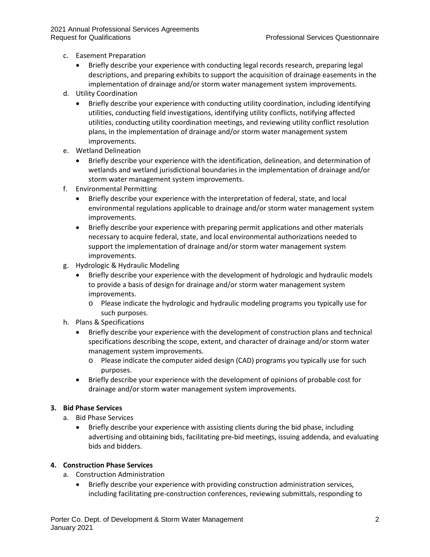- c. Easement Preparation
	- Briefly describe your experience with conducting legal records research, preparing legal descriptions, and preparing exhibits to support the acquisition of drainage easements in the implementation of drainage and/or storm water management system improvements.
- d. Utility Coordination
	- Briefly describe your experience with conducting utility coordination, including identifying utilities, conducting field investigations, identifying utility conflicts, notifying affected utilities, conducting utility coordination meetings, and reviewing utility conflict resolution plans, in the implementation of drainage and/or storm water management system improvements.
- e. Wetland Delineation
	- Briefly describe your experience with the identification, delineation, and determination of wetlands and wetland jurisdictional boundaries in the implementation of drainage and/or storm water management system improvements.
- f. Environmental Permitting
	- Briefly describe your experience with the interpretation of federal, state, and local environmental regulations applicable to drainage and/or storm water management system improvements.
	- Briefly describe your experience with preparing permit applications and other materials necessary to acquire federal, state, and local environmental authorizations needed to support the implementation of drainage and/or storm water management system improvements.
- g. Hydrologic & Hydraulic Modeling
	- Briefly describe your experience with the development of hydrologic and hydraulic models to provide a basis of design for drainage and/or storm water management system improvements.
		- o Please indicate the hydrologic and hydraulic modeling programs you typically use for such purposes.
- h. Plans & Specifications
	- Briefly describe your experience with the development of construction plans and technical specifications describing the scope, extent, and character of drainage and/or storm water management system improvements.
		- o Please indicate the computer aided design (CAD) programs you typically use for such purposes.
	- Briefly describe your experience with the development of opinions of probable cost for drainage and/or storm water management system improvements.

### **3. Bid Phase Services**

- a. Bid Phase Services
	- Briefly describe your experience with assisting clients during the bid phase, including advertising and obtaining bids, facilitating pre-bid meetings, issuing addenda, and evaluating bids and bidders.

#### **4. Construction Phase Services**

- a. Construction Administration
	- Briefly describe your experience with providing construction administration services, including facilitating pre-construction conferences, reviewing submittals, responding to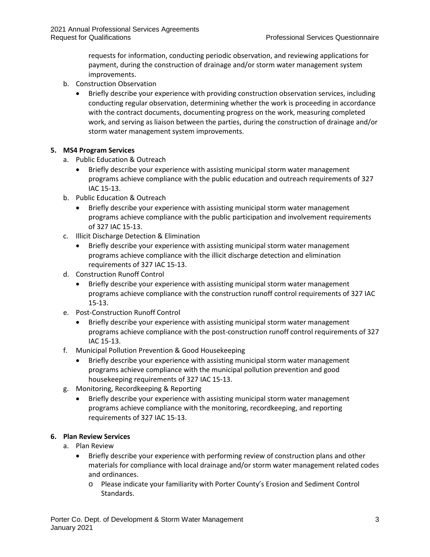requests for information, conducting periodic observation, and reviewing applications for payment, during the construction of drainage and/or storm water management system improvements.

- b. Construction Observation
	- Briefly describe your experience with providing construction observation services, including conducting regular observation, determining whether the work is proceeding in accordance with the contract documents, documenting progress on the work, measuring completed work, and serving as liaison between the parties, during the construction of drainage and/or storm water management system improvements.

## **5. MS4 Program Services**

- a. Public Education & Outreach
	- Briefly describe your experience with assisting municipal storm water management programs achieve compliance with the public education and outreach requirements of 327 IAC 15-13.
- b. Public Education & Outreach
	- Briefly describe your experience with assisting municipal storm water management programs achieve compliance with the public participation and involvement requirements of 327 IAC 15-13.
- c. Illicit Discharge Detection & Elimination
	- Briefly describe your experience with assisting municipal storm water management programs achieve compliance with the illicit discharge detection and elimination requirements of 327 IAC 15-13.
- d. Construction Runoff Control
	- Briefly describe your experience with assisting municipal storm water management programs achieve compliance with the construction runoff control requirements of 327 IAC 15-13.
- e. Post-Construction Runoff Control
	- Briefly describe your experience with assisting municipal storm water management programs achieve compliance with the post-construction runoff control requirements of 327 IAC 15-13.
- f. Municipal Pollution Prevention & Good Housekeeping
	- Briefly describe your experience with assisting municipal storm water management programs achieve compliance with the municipal pollution prevention and good housekeeping requirements of 327 IAC 15-13.
- g. Monitoring, Recordkeeping & Reporting
	- Briefly describe your experience with assisting municipal storm water management programs achieve compliance with the monitoring, recordkeeping, and reporting requirements of 327 IAC 15-13.

## **6. Plan Review Services**

- a. Plan Review
	- Briefly describe your experience with performing review of construction plans and other materials for compliance with local drainage and/or storm water management related codes and ordinances.
		- o Please indicate your familiarity with Porter County's Erosion and Sediment Control Standards.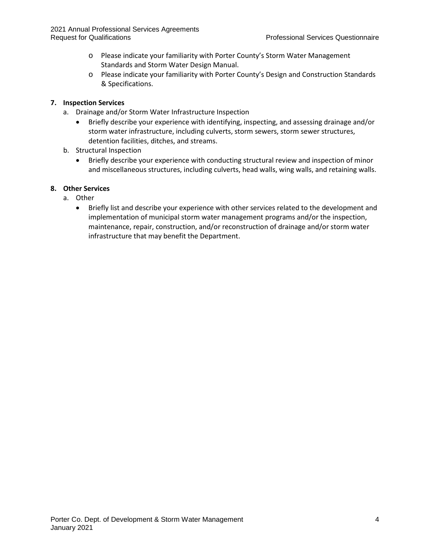- o Please indicate your familiarity with Porter County's Storm Water Management Standards and Storm Water Design Manual.
- o Please indicate your familiarity with Porter County's Design and Construction Standards & Specifications.

# **7. Inspection Services**

- a. Drainage and/or Storm Water Infrastructure Inspection
	- Briefly describe your experience with identifying, inspecting, and assessing drainage and/or storm water infrastructure, including culverts, storm sewers, storm sewer structures, detention facilities, ditches, and streams.
- b. Structural Inspection
	- Briefly describe your experience with conducting structural review and inspection of minor and miscellaneous structures, including culverts, head walls, wing walls, and retaining walls.

# **8. Other Services**

- a. Other
	- Briefly list and describe your experience with other services related to the development and implementation of municipal storm water management programs and/or the inspection, maintenance, repair, construction, and/or reconstruction of drainage and/or storm water infrastructure that may benefit the Department.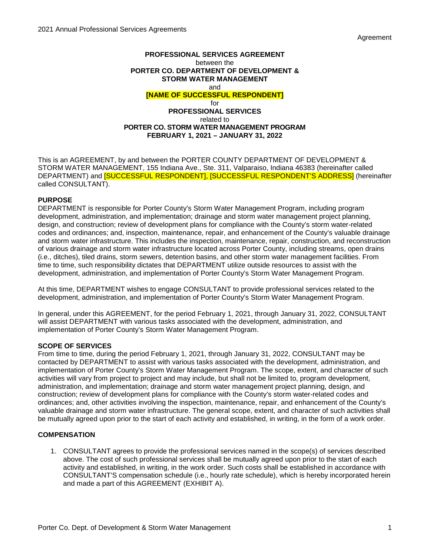Agreement

#### **PROFESSIONAL SERVICES AGREEMENT** between the **PORTER CO. DEPARTMENT OF DEVELOPMENT & STORM WATER MANAGEMENT** and **[NAME OF SUCCESSFUL RESPONDENT]** for **PROFESSIONAL SERVICES** related to **PORTER CO. STORM WATER MANAGEMENT PROGRAM FEBRUARY 1, 2021 – JANUARY 31, 2022**

This is an AGREEMENT, by and between the PORTER COUNTY DEPARTMENT OF DEVELOPMENT & STORM WATER MANAGEMENT, 155 Indiana Ave., Ste. 311, Valparaiso, Indiana 46383 (hereinafter called DEPARTMENT) and **[SUCCESSFUL RESPONDENT], [SUCCESSFUL RESPONDENT'S ADDRESS]** (hereinafter called CONSULTANT).

### **PURPOSE**

DEPARTMENT is responsible for Porter County's Storm Water Management Program, including program development, administration, and implementation; drainage and storm water management project planning, design, and construction; review of development plans for compliance with the County's storm water-related codes and ordinances; and, inspection, maintenance, repair, and enhancement of the County's valuable drainage and storm water infrastructure. This includes the inspection, maintenance, repair, construction, and reconstruction of various drainage and storm water infrastructure located across Porter County, including streams, open drains (i.e., ditches), tiled drains, storm sewers, detention basins, and other storm water management facilities. From time to time, such responsibility dictates that DEPARTMENT utilize outside resources to assist with the development, administration, and implementation of Porter County's Storm Water Management Program.

At this time, DEPARTMENT wishes to engage CONSULTANT to provide professional services related to the development, administration, and implementation of Porter County's Storm Water Management Program.

In general, under this AGREEMENT, for the period February 1, 2021, through January 31, 2022, CONSULTANT will assist DEPARTMENT with various tasks associated with the development, administration, and implementation of Porter County's Storm Water Management Program.

#### **SCOPE OF SERVICES**

From time to time, during the period February 1, 2021, through January 31, 2022, CONSULTANT may be contacted by DEPARTMENT to assist with various tasks associated with the development, administration, and implementation of Porter County's Storm Water Management Program. The scope, extent, and character of such activities will vary from project to project and may include, but shall not be limited to, program development, administration, and implementation; drainage and storm water management project planning, design, and construction; review of development plans for compliance with the County's storm water-related codes and ordinances; and, other activities involving the inspection, maintenance, repair, and enhancement of the County's valuable drainage and storm water infrastructure. The general scope, extent, and character of such activities shall be mutually agreed upon prior to the start of each activity and established, in writing, in the form of a work order.

## **COMPENSATION**

1. CONSULTANT agrees to provide the professional services named in the scope(s) of services described above. The cost of such professional services shall be mutually agreed upon prior to the start of each activity and established, in writing, in the work order. Such costs shall be established in accordance with CONSULTANT'S compensation schedule (i.e., hourly rate schedule), which is hereby incorporated herein and made a part of this AGREEMENT (EXHIBIT A).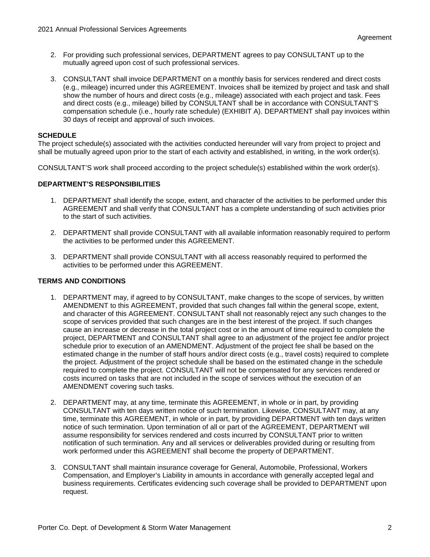- 2. For providing such professional services, DEPARTMENT agrees to pay CONSULTANT up to the mutually agreed upon cost of such professional services.
- 3. CONSULTANT shall invoice DEPARTMENT on a monthly basis for services rendered and direct costs (e.g., mileage) incurred under this AGREEMENT. Invoices shall be itemized by project and task and shall show the number of hours and direct costs (e.g., mileage) associated with each project and task. Fees and direct costs (e.g., mileage) billed by CONSULTANT shall be in accordance with CONSULTANT'S compensation schedule (i.e., hourly rate schedule) (EXHIBIT A). DEPARTMENT shall pay invoices within 30 days of receipt and approval of such invoices.

### **SCHEDULE**

The project schedule(s) associated with the activities conducted hereunder will vary from project to project and shall be mutually agreed upon prior to the start of each activity and established, in writing, in the work order(s).

CONSULTANT'S work shall proceed according to the project schedule(s) established within the work order(s).

### **DEPARTMENT'S RESPONSIBILITIES**

- 1. DEPARTMENT shall identify the scope, extent, and character of the activities to be performed under this AGREEMENT and shall verify that CONSULTANT has a complete understanding of such activities prior to the start of such activities.
- 2. DEPARTMENT shall provide CONSULTANT with all available information reasonably required to perform the activities to be performed under this AGREEMENT.
- 3. DEPARTMENT shall provide CONSULTANT with all access reasonably required to performed the activities to be performed under this AGREEMENT.

#### **TERMS AND CONDITIONS**

- 1. DEPARTMENT may, if agreed to by CONSULTANT, make changes to the scope of services, by written AMENDMENT to this AGREEMENT, provided that such changes fall within the general scope, extent, and character of this AGREEMENT. CONSULTANT shall not reasonably reject any such changes to the scope of services provided that such changes are in the best interest of the project. If such changes cause an increase or decrease in the total project cost or in the amount of time required to complete the project, DEPARTMENT and CONSULTANT shall agree to an adjustment of the project fee and/or project schedule prior to execution of an AMENDMENT. Adjustment of the project fee shall be based on the estimated change in the number of staff hours and/or direct costs (e.g., travel costs) required to complete the project. Adjustment of the project schedule shall be based on the estimated change in the schedule required to complete the project. CONSULTANT will not be compensated for any services rendered or costs incurred on tasks that are not included in the scope of services without the execution of an AMENDMENT covering such tasks.
- 2. DEPARTMENT may, at any time, terminate this AGREEMENT, in whole or in part, by providing CONSULTANT with ten days written notice of such termination. Likewise, CONSULTANT may, at any time, terminate this AGREEMENT, in whole or in part, by providing DEPARTMENT with ten days written notice of such termination. Upon termination of all or part of the AGREEMENT, DEPARTMENT will assume responsibility for services rendered and costs incurred by CONSULTANT prior to written notification of such termination. Any and all services or deliverables provided during or resulting from work performed under this AGREEMENT shall become the property of DEPARTMENT.
- 3. CONSULTANT shall maintain insurance coverage for General, Automobile, Professional, Workers Compensation, and Employer's Liability in amounts in accordance with generally accepted legal and business requirements. Certificates evidencing such coverage shall be provided to DEPARTMENT upon request.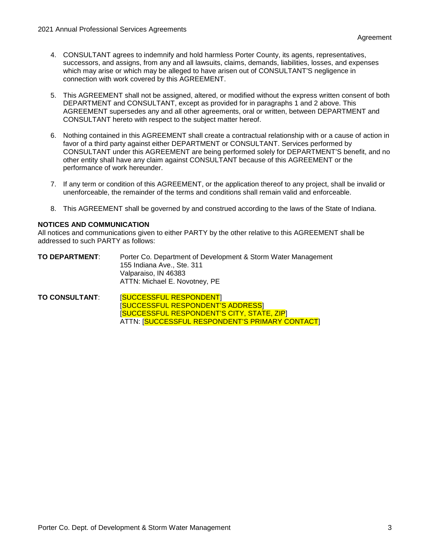- 4. CONSULTANT agrees to indemnify and hold harmless Porter County, its agents, representatives, successors, and assigns, from any and all lawsuits, claims, demands, liabilities, losses, and expenses which may arise or which may be alleged to have arisen out of CONSULTANT'S negligence in connection with work covered by this AGREEMENT.
- 5. This AGREEMENT shall not be assigned, altered, or modified without the express written consent of both DEPARTMENT and CONSULTANT, except as provided for in paragraphs 1 and 2 above. This AGREEMENT supersedes any and all other agreements, oral or written, between DEPARTMENT and CONSULTANT hereto with respect to the subject matter hereof.
- 6. Nothing contained in this AGREEMENT shall create a contractual relationship with or a cause of action in favor of a third party against either DEPARTMENT or CONSULTANT. Services performed by CONSULTANT under this AGREEMENT are being performed solely for DEPARTMENT'S benefit, and no other entity shall have any claim against CONSULTANT because of this AGREEMENT or the performance of work hereunder.
- 7. If any term or condition of this AGREEMENT, or the application thereof to any project, shall be invalid or unenforceable, the remainder of the terms and conditions shall remain valid and enforceable.
- 8. This AGREEMENT shall be governed by and construed according to the laws of the State of Indiana.

### **NOTICES AND COMMUNICATION**

All notices and communications given to either PARTY by the other relative to this AGREEMENT shall be addressed to such PARTY as follows:

| TO DEPARTMENT: | Porter Co. Department of Development & Storm Water Management |
|----------------|---------------------------------------------------------------|
|                | 155 Indiana Ave Ste. 311                                      |
|                | Valparaiso, IN 46383                                          |
|                | ATTN: Michael E. Novotney, PE                                 |

**TO CONSULTANT**: [SUCCESSFUL RESPONDENT] [SUCCESSFUL RESPONDENT'S ADDRESS] [SUCCESSFUL RESPONDENT'S CITY, STATE, ZIP] ATTN: [SUCCESSFUL RESPONDENT'S PRIMARY CONTACT]